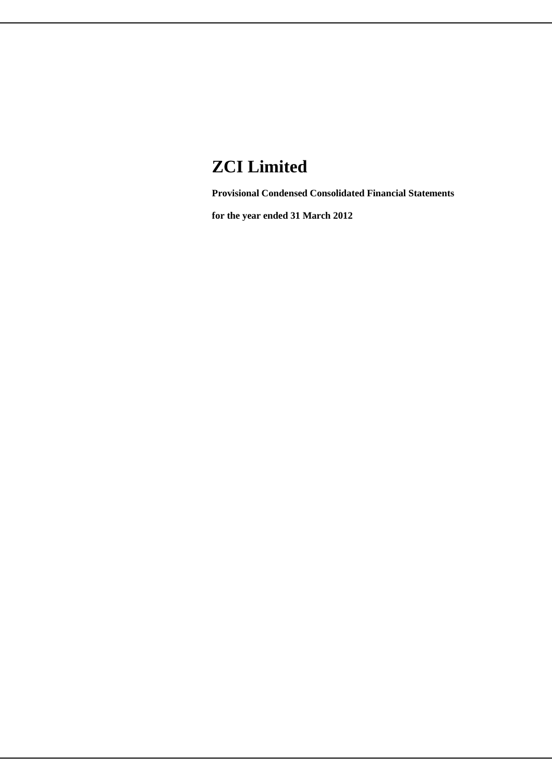# **ZCI Limited**

**Provisional Condensed Consolidated Financial Statements**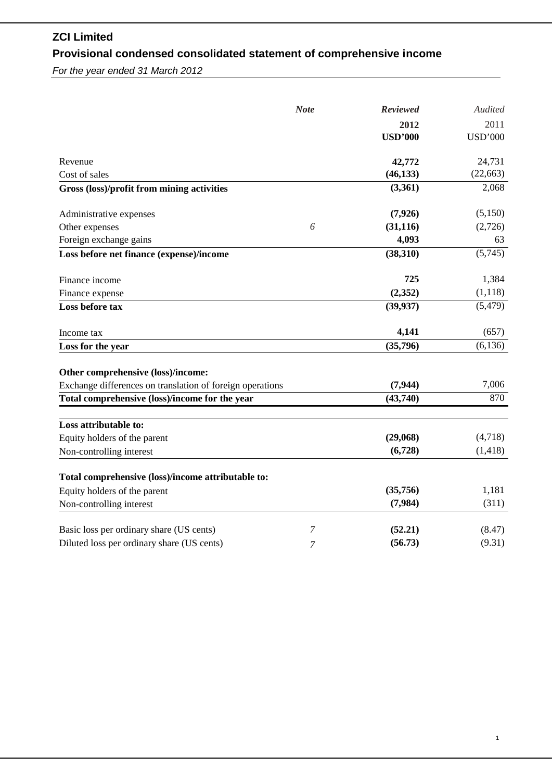# **ZCI Limited Provisional condensed consolidated statement of comprehensive income**

|                                                           | <b>Note</b> | Reviewed       | Audited        |
|-----------------------------------------------------------|-------------|----------------|----------------|
|                                                           |             | 2012           | 2011           |
|                                                           |             | <b>USD'000</b> | <b>USD'000</b> |
| Revenue                                                   |             | 42,772         | 24,731         |
| Cost of sales                                             |             | (46, 133)      | (22, 663)      |
| Gross (loss)/profit from mining activities                |             | (3,361)        | 2,068          |
| Administrative expenses                                   |             | (7,926)        | (5,150)        |
| Other expenses                                            | 6           | (31, 116)      | (2,726)        |
| Foreign exchange gains                                    |             | 4,093          | 63             |
| Loss before net finance (expense)/income                  |             | (38,310)       | (5,745)        |
| Finance income                                            |             | 725            | 1,384          |
| Finance expense                                           |             | (2, 352)       | (1,118)        |
| Loss before tax                                           |             | (39, 937)      | (5, 479)       |
| Income tax                                                |             | 4,141          | (657)          |
| Loss for the year                                         |             | (35,796)       | (6, 136)       |
| Other comprehensive (loss)/income:                        |             |                |                |
| Exchange differences on translation of foreign operations |             | (7, 944)       | 7,006          |
| Total comprehensive (loss)/income for the year            |             | (43,740)       | 870            |
| Loss attributable to:                                     |             |                |                |
| Equity holders of the parent                              |             | (29,068)       | (4,718)        |
| Non-controlling interest                                  |             | (6,728)        | (1, 418)       |
| Total comprehensive (loss)/income attributable to:        |             |                |                |
| Equity holders of the parent                              |             | (35,756)       | 1,181          |
| Non-controlling interest                                  |             | (7,984)        | (311)          |
| Basic loss per ordinary share (US cents)                  | 7           | (52.21)        | (8.47)         |
| Diluted loss per ordinary share (US cents)                | 7           | (56.73)        | (9.31)         |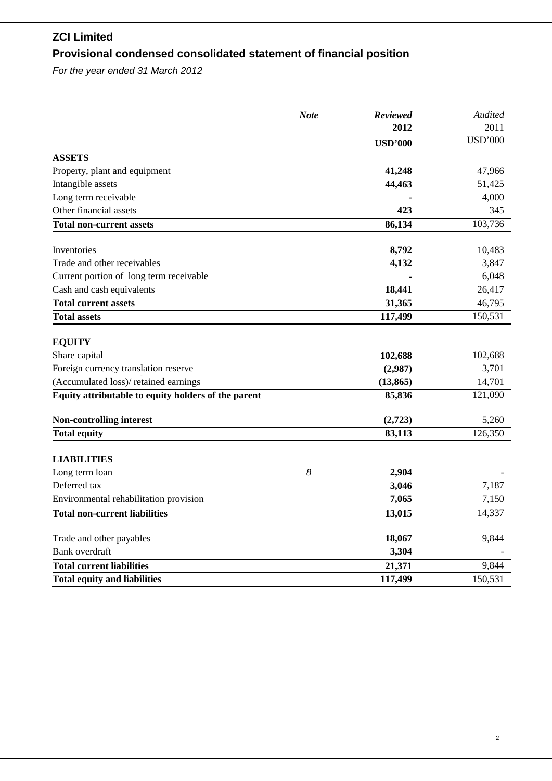# **ZCI Limited Provisional condensed consolidated statement of financial position**

|                                                     | <b>Note</b> | Reviewed       | Audited        |
|-----------------------------------------------------|-------------|----------------|----------------|
|                                                     |             | 2012           | 2011           |
|                                                     |             | <b>USD'000</b> | <b>USD'000</b> |
| <b>ASSETS</b>                                       |             |                |                |
| Property, plant and equipment                       |             | 41,248         | 47,966         |
| Intangible assets                                   |             | 44,463         | 51,425         |
| Long term receivable                                |             |                | 4,000          |
| Other financial assets                              |             | 423            | 345            |
| <b>Total non-current assets</b>                     |             | 86,134         | 103,736        |
| Inventories                                         |             | 8,792          | 10,483         |
| Trade and other receivables                         |             | 4,132          | 3,847          |
| Current portion of long term receivable             |             |                | 6,048          |
| Cash and cash equivalents                           |             | 18,441         | 26,417         |
| <b>Total current assets</b>                         |             | 31,365         | 46,795         |
| <b>Total assets</b>                                 |             | 117,499        | 150,531        |
| <b>EQUITY</b>                                       |             |                |                |
| Share capital                                       |             | 102,688        | 102,688        |
| Foreign currency translation reserve                |             | (2,987)        | 3,701          |
| (Accumulated loss)/retained earnings                |             | (13, 865)      | 14,701         |
| Equity attributable to equity holders of the parent |             | 85,836         | 121,090        |
| Non-controlling interest                            |             | (2,723)        | 5,260          |
| <b>Total equity</b>                                 |             | 83,113         | 126,350        |
| <b>LIABILITIES</b>                                  |             |                |                |
| Long term loan                                      | 8           | 2,904          |                |
| Deferred tax                                        |             | 3,046          | 7,187          |
| Environmental rehabilitation provision              |             | 7,065          | 7,150          |
| <b>Total non-current liabilities</b>                |             | 13,015         | 14,337         |
| Trade and other payables                            |             | 18,067         | 9,844          |
| <b>Bank</b> overdraft                               |             | 3,304          |                |
| <b>Total current liabilities</b>                    |             | 21,371         | 9,844          |
| <b>Total equity and liabilities</b>                 |             | 117,499        | 150,531        |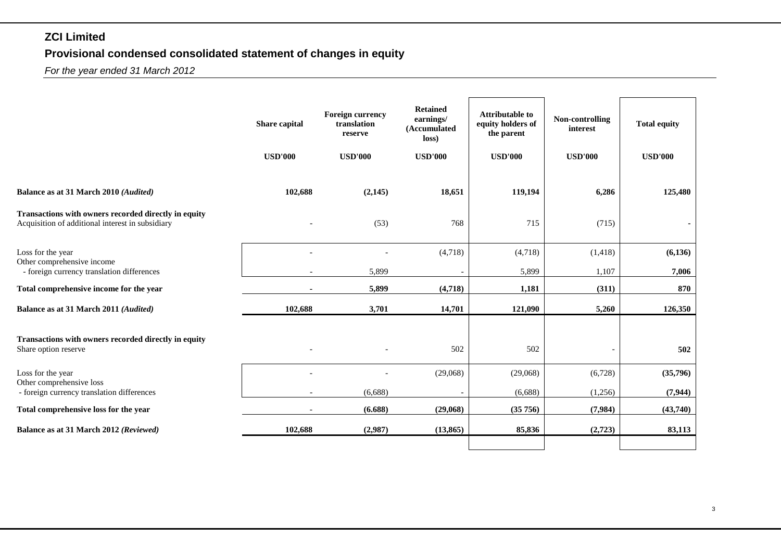## **ZCI Limited**

# **Provisional condensed consolidated statement of changes in equity**

|                                                                                                          | Share capital            | <b>Foreign currency</b><br>translation<br>reserve | <b>Retained</b><br>earnings/<br>(Accumulated<br>loss) | <b>Attributable to</b><br>equity holders of<br>the parent | Non-controlling<br>interest | <b>Total equity</b> |
|----------------------------------------------------------------------------------------------------------|--------------------------|---------------------------------------------------|-------------------------------------------------------|-----------------------------------------------------------|-----------------------------|---------------------|
|                                                                                                          | <b>USD'000</b>           | <b>USD'000</b>                                    | <b>USD'000</b>                                        | <b>USD'000</b>                                            | <b>USD'000</b>              | <b>USD'000</b>      |
| Balance as at 31 March 2010 (Audited)                                                                    | 102,688                  | (2,145)                                           | 18,651                                                | 119,194                                                   | 6,286                       | 125,480             |
| Transactions with owners recorded directly in equity<br>Acquisition of additional interest in subsidiary |                          | (53)                                              | 768                                                   | 715                                                       | (715)                       |                     |
| Loss for the year<br>Other comprehensive income                                                          |                          |                                                   | (4,718)                                               | (4,718)                                                   | (1, 418)                    | (6, 136)            |
| - foreign currency translation differences                                                               |                          | 5,899                                             |                                                       | 5,899                                                     | 1,107                       | 7,006               |
| Total comprehensive income for the year                                                                  |                          | 5,899                                             | (4,718)                                               | 1,181                                                     | (311)                       | 870                 |
| Balance as at 31 March 2011 (Audited)                                                                    | 102,688                  | 3,701                                             | 14,701                                                | 121,090                                                   | 5,260                       | 126,350             |
| Transactions with owners recorded directly in equity<br>Share option reserve                             |                          |                                                   | 502                                                   | 502                                                       |                             | 502                 |
| Loss for the year<br>Other comprehensive loss                                                            |                          |                                                   | (29,068)                                              | (29,068)                                                  | (6,728)                     | (35,796)            |
| - foreign currency translation differences                                                               |                          | (6,688)                                           |                                                       | (6,688)                                                   | (1,256)                     | (7, 944)            |
| Total comprehensive loss for the year                                                                    | $\overline{\phantom{a}}$ | (6.688)                                           | (29,068)                                              | (35756)                                                   | (7,984)                     | (43,740)            |
| Balance as at 31 March 2012 (Reviewed)                                                                   | 102,688                  | (2,987)                                           | (13, 865)                                             | 85,836                                                    | (2,723)                     | 83,113              |
|                                                                                                          |                          |                                                   |                                                       |                                                           |                             |                     |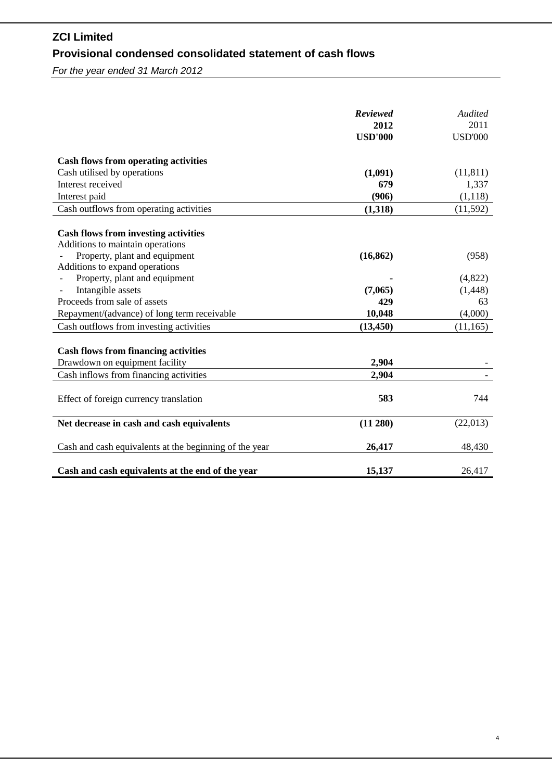# **ZCI Limited Provisional condensed consolidated statement of cash flows**

|                                                        | <b>Reviewed</b><br>2012 | Audited<br>2011 |
|--------------------------------------------------------|-------------------------|-----------------|
|                                                        | <b>USD'000</b>          | <b>USD'000</b>  |
| <b>Cash flows from operating activities</b>            |                         |                 |
| Cash utilised by operations                            | (1,091)                 | (11, 811)       |
| Interest received                                      | 679                     | 1,337           |
| Interest paid                                          | (906)                   | (1,118)         |
| Cash outflows from operating activities                | (1,318)                 | (11, 592)       |
| <b>Cash flows from investing activities</b>            |                         |                 |
| Additions to maintain operations                       |                         |                 |
| Property, plant and equipment                          | (16, 862)               | (958)           |
| Additions to expand operations                         |                         |                 |
| Property, plant and equipment                          |                         | (4,822)         |
| Intangible assets                                      | (7,065)                 | (1, 448)        |
| Proceeds from sale of assets                           | 429                     | 63              |
| Repayment/(advance) of long term receivable            | 10,048                  | (4,000)         |
| Cash outflows from investing activities                | (13, 450)               | (11, 165)       |
| <b>Cash flows from financing activities</b>            |                         |                 |
| Drawdown on equipment facility                         | 2,904                   |                 |
| Cash inflows from financing activities                 | 2,904                   |                 |
| Effect of foreign currency translation                 | 583                     | 744             |
| Net decrease in cash and cash equivalents              | (11 280)                | (22,013)        |
| Cash and cash equivalents at the beginning of the year | 26,417                  | 48,430          |
| Cash and cash equivalents at the end of the year       | 15,137                  | 26,417          |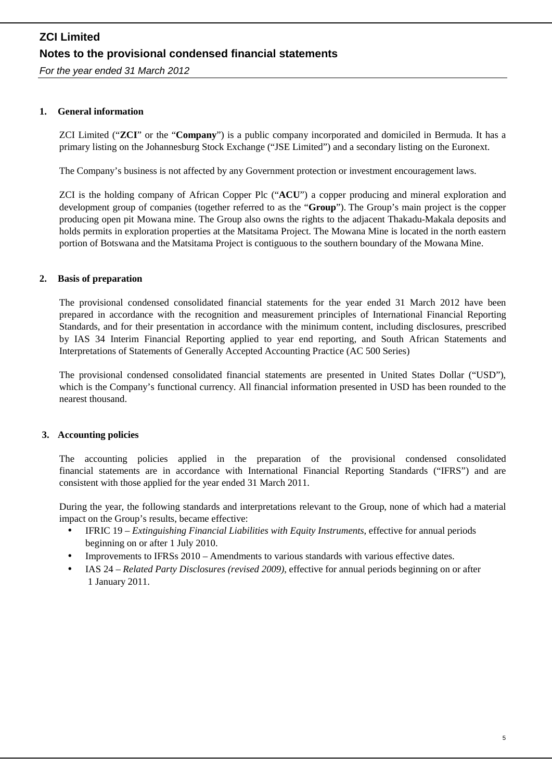*For the year ended 31 March 2012*

### **1. General information**

ZCI Limited ("**ZCI**" or the "**Company**") is a public company incorporated and domiciled in Bermuda. It has a primary listing on the Johannesburg Stock Exchange ("JSE Limited") and a secondary listing on the Euronext.

The Company's business is not affected by any Government protection or investment encouragement laws.

ZCI is the holding company of African Copper Plc ("**ACU**") a copper producing and mineral exploration and development group of companies (together referred to as the "**Group**"). The Group's main project is the copper producing open pit Mowana mine. The Group also owns the rights to the adjacent Thakadu-Makala deposits and holds permits in exploration properties at the Matsitama Project. The Mowana Mine is located in the north eastern portion of Botswana and the Matsitama Project is contiguous to the southern boundary of the Mowana Mine.

### **2. Basis of preparation**

The provisional condensed consolidated financial statements for the year ended 31 March 2012 have been prepared in accordance with the recognition and measurement principles of International Financial Reporting Standards, and for their presentation in accordance with the minimum content, including disclosures, prescribed by IAS 34 Interim Financial Reporting applied to year end reporting, and South African Statements and Interpretations of Statements of Generally Accepted Accounting Practice (AC 500 Series)

The provisional condensed consolidated financial statements are presented in United States Dollar ("USD"), which is the Company's functional currency. All financial information presented in USD has been rounded to the nearest thousand.

### **3. Accounting policies**

The accounting policies applied in the preparation of the provisional condensed consolidated financial statements are in accordance with International Financial Reporting Standards ("IFRS") and are consistent with those applied for the year ended 31 March 2011.

During the year, the following standards and interpretations relevant to the Group, none of which had a material impact on the Group's results, became effective:

- IFRIC 19 *Extinguishing Financial Liabilities with Equity Instruments*, effective for annual periods beginning on or after 1 July 2010.
- Improvements to IFRSs 2010 Amendments to various standards with various effective dates.
- IAS 24 *Related Party Disclosures (revised 2009)*, effective for annual periods beginning on or after 1 January 2011.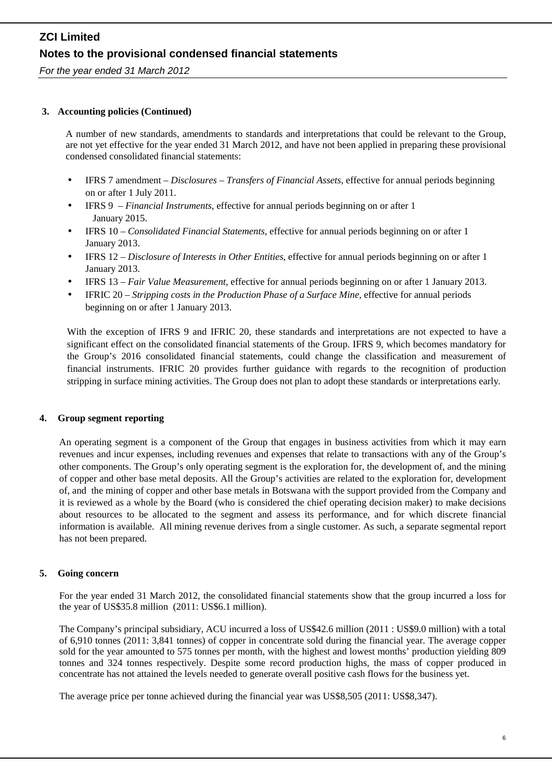*For the year ended 31 March 2012*

### **3. Accounting policies (Continued)**

A number of new standards, amendments to standards and interpretations that could be relevant to the Group, are not yet effective for the year ended 31 March 2012, and have not been applied in preparing these provisional condensed consolidated financial statements:

- IFRS 7 amendment *Disclosures – Transfers of Financial Assets*, effective for annual periods beginning on or after 1 July 2011.
- IFRS 9 *Financial Instruments*, effective for annual periods beginning on or after 1 January 2015.
- IFRS 10 *Consolidated Financial Statements*, effective for annual periods beginning on or after 1 January 2013.
- IFRS 12 *Disclosure of Interests in Other Entities*, effective for annual periods beginning on or after 1 January 2013.
- IFRS 13 *Fair Value Measurement*, effective for annual periods beginning on or after 1 January 2013.
- IFRIC 20 *Stripping costs in the Production Phase of a Surface Mine,* effective for annual periods beginning on or after 1 January 2013.

With the exception of IFRS 9 and IFRIC 20, these standards and interpretations are not expected to have a significant effect on the consolidated financial statements of the Group. IFRS 9, which becomes mandatory for the Group's 2016 consolidated financial statements, could change the classification and measurement of financial instruments. IFRIC 20 provides further guidance with regards to the recognition of production stripping in surface mining activities. The Group does not plan to adopt these standards or interpretations early.

### **4. Group segment reporting**

An operating segment is a component of the Group that engages in business activities from which it may earn revenues and incur expenses, including revenues and expenses that relate to transactions with any of the Group's other components. The Group's only operating segment is the exploration for, the development of, and the mining of copper and other base metal deposits. All the Group's activities are related to the exploration for, development of, and the mining of copper and other base metals in Botswana with the support provided from the Company and it is reviewed as a whole by the Board (who is considered the chief operating decision maker) to make decisions about resources to be allocated to the segment and assess its performance, and for which discrete financial information is available. All mining revenue derives from a single customer. As such, a separate segmental report has not been prepared.

### **5. Going concern**

For the year ended 31 March 2012, the consolidated financial statements show that the group incurred a loss for the year of US\$35.8 million (2011: US\$6.1 million).

The Company's principal subsidiary, ACU incurred a loss of US\$42.6 million (2011 : US\$9.0 million) with a total of 6,910 tonnes (2011: 3,841 tonnes) of copper in concentrate sold during the financial year. The average copper sold for the year amounted to 575 tonnes per month, with the highest and lowest months' production yielding 809 tonnes and 324 tonnes respectively. Despite some record production highs, the mass of copper produced in concentrate has not attained the levels needed to generate overall positive cash flows for the business yet.

The average price per tonne achieved during the financial year was US\$8,505 (2011: US\$8,347).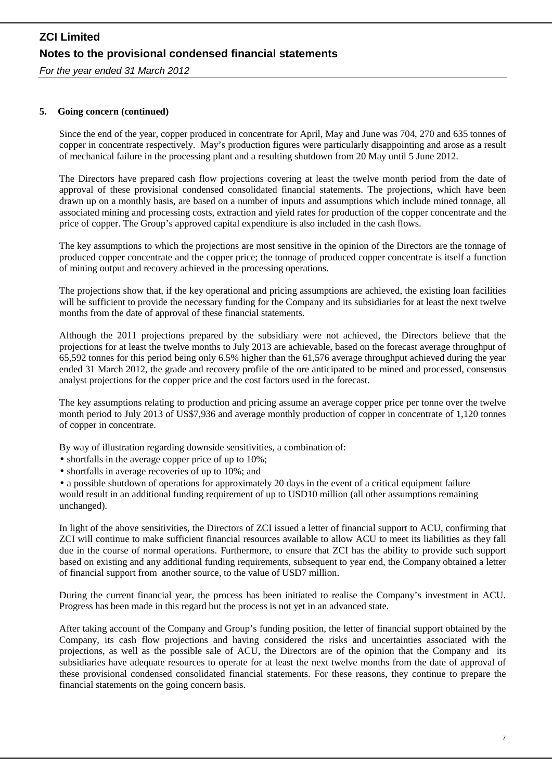*For the year ended 31 March 2012*

### **5. Going concern (continued)**

Since the end of the year, copper produced in concentrate for April, May and June was 704, 270 and 635 tonnes of copper in concentrate respectively. May's production figures were particularly disappointing and arose as a result of mechanical failure in the processing plant and a resulting shutdown from 20 May until 5 June 2012.

The Directors have prepared cash flow projections covering at least the twelve month period from the date of approval of these provisional condensed consolidated financial statements. The projections, which have been drawn up on a monthly basis, are based on a number of inputs and assumptions which include mined tonnage, all associated mining and processing costs, extraction and yield rates for production of the copper concentrate and the price of copper. The Group's approved capital expenditure is also included in the cash flows.

The key assumptions to which the projections are most sensitive in the opinion of the Directors are the tonnage of produced copper concentrate and the copper price; the tonnage of produced copper concentrate is itself a function of mining output and recovery achieved in the processing operations.

The projections show that, if the key operational and pricing assumptions are achieved, the existing loan facilities will be sufficient to provide the necessary funding for the Company and its subsidiaries for at least the next twelve months from the date of approval of these financial statements.

Although the 2011 projections prepared by the subsidiary were not achieved, the Directors believe that the projections for at least the twelve months to July 2013 are achievable, based on the forecast average throughput of 65,592 tonnes for this period being only 6.5% higher than the 61,576 average throughput achieved during the year ended 31 March 2012, the grade and recovery profile of the ore anticipated to be mined and processed, consensus analyst projections for the copper price and the cost factors used in the forecast.

The key assumptions relating to production and pricing assume an average copper price per tonne over the twelve month period to July 2013 of US\$7,936 and average monthly production of copper in concentrate of 1,120 tonnes of copper in concentrate.

By way of illustration regarding downside sensitivities, a combination of:

- shortfalls in the average copper price of up to 10%;
- shortfalls in average recoveries of up to 10%; and

• a possible shutdown of operations for approximately 20 days in the event of a critical equipment failure would result in an additional funding requirement of up to USD10 million (all other assumptions remaining unchanged).

In light of the above sensitivities, the Directors of ZCI issued a letter of financial support to ACU, confirming that ZCI will continue to make sufficient financial resources available to allow ACU to meet its liabilities as they fall due in the course of normal operations. Furthermore, to ensure that ZCI has the ability to provide such support based on existing and any additional funding requirements, subsequent to year end, the Company obtained a letter of financial support from another source, to the value of USD7 million.

During the current financial year, the process has been initiated to realise the Company's investment in ACU. Progress has been made in this regard but the process is not yet in an advanced state.

After taking account of the Company and Group's funding position, the letter of financial support obtained by the Company, its cash flow projections and having considered the risks and uncertainties associated with the projections, as well as the possible sale of ACU, the Directors are of the opinion that the Company and its subsidiaries have adequate resources to operate for at least the next twelve months from the date of approval of these provisional condensed consolidated financial statements. For these reasons, they continue to prepare the financial statements on the going concern basis.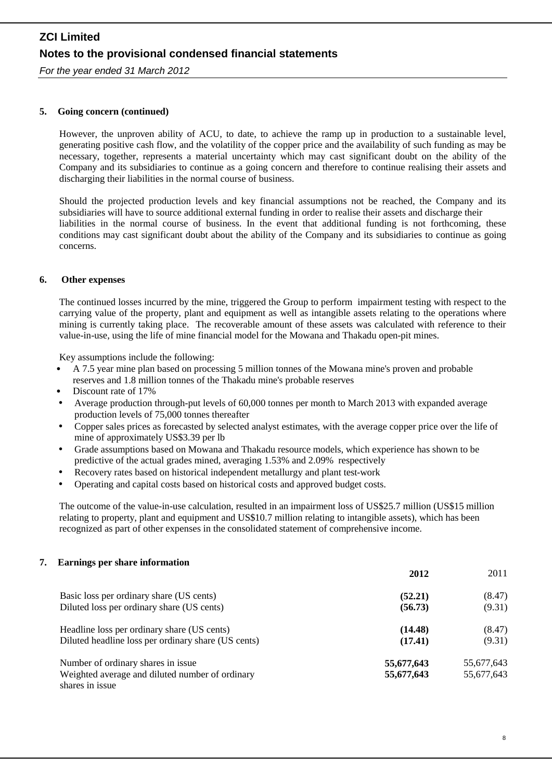*For the year ended 31 March 2012*

### **5. Going concern (continued)**

However, the unproven ability of ACU, to date, to achieve the ramp up in production to a sustainable level, generating positive cash flow, and the volatility of the copper price and the availability of such funding as may be necessary, together, represents a material uncertainty which may cast significant doubt on the ability of the Company and its subsidiaries to continue as a going concern and therefore to continue realising their assets and discharging their liabilities in the normal course of business.

Should the projected production levels and key financial assumptions not be reached, the Company and its subsidiaries will have to source additional external funding in order to realise their assets and discharge their liabilities in the normal course of business. In the event that additional funding is not forthcoming, these conditions may cast significant doubt about the ability of the Company and its subsidiaries to continue as going concerns.

### **6. Other expenses**

The continued losses incurred by the mine, triggered the Group to perform impairment testing with respect to the carrying value of the property, plant and equipment as well as intangible assets relating to the operations where mining is currently taking place. The recoverable amount of these assets was calculated with reference to their value-in-use, using the life of mine financial model for the Mowana and Thakadu open-pit mines.

Key assumptions include the following:

- A 7.5 year mine plan based on processing 5 million tonnes of the Mowana mine's proven and probable reserves and 1.8 million tonnes of the Thakadu mine's probable reserves
- Discount rate of 17%
- Average production through-put levels of 60,000 tonnes per month to March 2013 with expanded average production levels of 75,000 tonnes thereafter
- Copper sales prices as forecasted by selected analyst estimates, with the average copper price over the life of mine of approximately US\$3.39 per lb
- Grade assumptions based on Mowana and Thakadu resource models, which experience has shown to be predictive of the actual grades mined, averaging 1.53% and 2.09% respectively
- Recovery rates based on historical independent metallurgy and plant test-work
- Operating and capital costs based on historical costs and approved budget costs.

The outcome of the value-in-use calculation, resulted in an impairment loss of US\$25.7 million (US\$15 million relating to property, plant and equipment and US\$10.7 million relating to intangible assets), which has been recognized as part of other expenses in the consolidated statement of comprehensive income.

#### **7. Earnings per share information**

|                                                     | 2012       | 2011       |  |
|-----------------------------------------------------|------------|------------|--|
| Basic loss per ordinary share (US cents)            | (52.21)    | (8.47)     |  |
| Diluted loss per ordinary share (US cents)          | (56.73)    | (9.31)     |  |
| Headline loss per ordinary share (US cents)         | (14.48)    | (8.47)     |  |
| Diluted headline loss per ordinary share (US cents) | (17.41)    | (9.31)     |  |
| Number of ordinary shares in issue                  | 55,677,643 | 55,677,643 |  |
| Weighted average and diluted number of ordinary     | 55,677,643 | 55,677,643 |  |
| shares in issue                                     |            |            |  |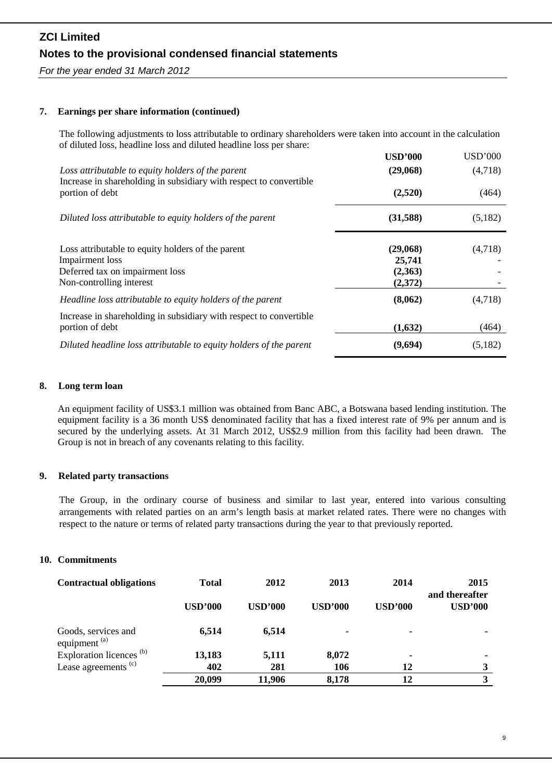*For the year ended 31 March 2012*

### **7. Earnings per share information (continued)**

The following adjustments to loss attributable to ordinary shareholders were taken into account in the calculation of diluted loss, headline loss and diluted headline loss per share:

|                                                                                                                         | <b>USD'000</b> | <b>USD'000</b> |
|-------------------------------------------------------------------------------------------------------------------------|----------------|----------------|
| Loss attributable to equity holders of the parent<br>Increase in shareholding in subsidiary with respect to convertible | (29,068)       | (4,718)        |
| portion of debt                                                                                                         | (2,520)        | (464)          |
| Diluted loss attributable to equity holders of the parent                                                               | (31,588)       | (5,182)        |
| Loss attributable to equity holders of the parent                                                                       | (29,068)       | (4,718)        |
| Impairment loss                                                                                                         | 25,741         |                |
| Deferred tax on impairment loss                                                                                         | (2,363)        |                |
| Non-controlling interest                                                                                                | (2,372)        |                |
| Headline loss attributable to equity holders of the parent                                                              | (8,062)        | (4,718)        |
| Increase in shareholding in subsidiary with respect to convertible                                                      |                |                |
| portion of debt                                                                                                         | (1,632)        | (464)          |
| Diluted headline loss attributable to equity holders of the parent                                                      | (9,694)        | (5,182)        |

### **8. Long term loan**

An equipment facility of US\$3.1 million was obtained from Banc ABC, a Botswana based lending institution. The equipment facility is a 36 month US\$ denominated facility that has a fixed interest rate of 9% per annum and is secured by the underlying assets. At 31 March 2012, US\$2.9 million from this facility had been drawn. The Group is not in breach of any covenants relating to this facility.

### **9. Related party transactions**

The Group, in the ordinary course of business and similar to last year, entered into various consulting arrangements with related parties on an arm's length basis at market related rates. There were no changes with respect to the nature or terms of related party transactions during the year to that previously reported.

### **10. Commitments**

| <b>Contractual obligations</b>                  | <b>Total</b>   | 2012           | 2013           | 2014                     | 2015<br>and thereafter |
|-------------------------------------------------|----------------|----------------|----------------|--------------------------|------------------------|
|                                                 | <b>USD'000</b> | <b>USD'000</b> | <b>USD'000</b> | <b>USD'000</b>           | <b>USD'000</b>         |
| Goods, services and<br>equipment <sup>(a)</sup> | 6,514          | 6.514          | ۰              | $\overline{\phantom{0}}$ |                        |
| Exploration licences <sup>(b)</sup>             | 13,183         | 5,111          | 8,072          |                          |                        |
| Lease agreements <sup>(c)</sup>                 | 402            | 281            | 106            | 12                       |                        |
|                                                 | 20,099         | 11,906         | 8,178          | 12                       | 3                      |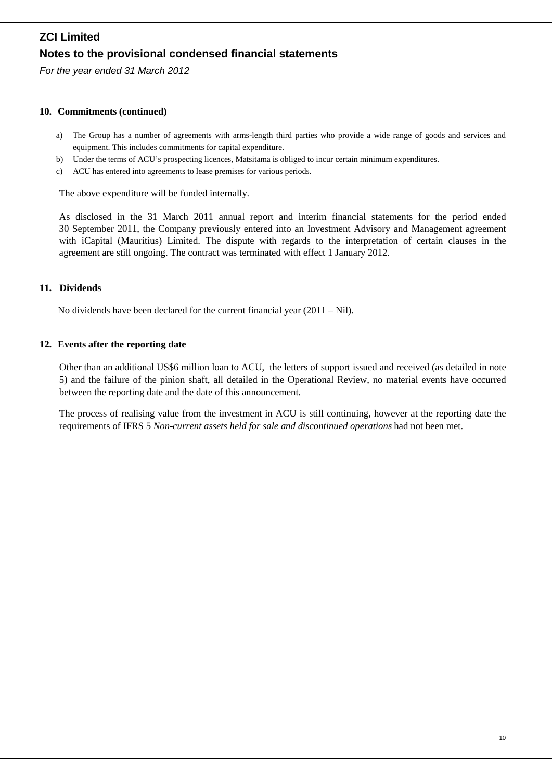*For the year ended 31 March 2012*

### **10. Commitments (continued)**

- a) The Group has a number of agreements with arms-length third parties who provide a wide range of goods and services and equipment. This includes commitments for capital expenditure.
- b) Under the terms of ACU's prospecting licences, Matsitama is obliged to incur certain minimum expenditures.
- c) ACU has entered into agreements to lease premises for various periods.

The above expenditure will be funded internally.

As disclosed in the 31 March 2011 annual report and interim financial statements for the period ended 30 September 2011, the Company previously entered into an Investment Advisory and Management agreement with iCapital (Mauritius) Limited. The dispute with regards to the interpretation of certain clauses in the agreement are still ongoing. The contract was terminated with effect 1 January 2012.

### **11. Dividends**

No dividends have been declared for the current financial year (2011 – Nil).

### **12. Events after the reporting date**

Other than an additional US\$6 million loan to ACU, the letters of support issued and received (as detailed in note 5) and the failure of the pinion shaft, all detailed in the Operational Review, no material events have occurred between the reporting date and the date of this announcement.

The process of realising value from the investment in ACU is still continuing, however at the reporting date the requirements of IFRS 5 *Non-current assets held for sale and discontinued operations* had not been met.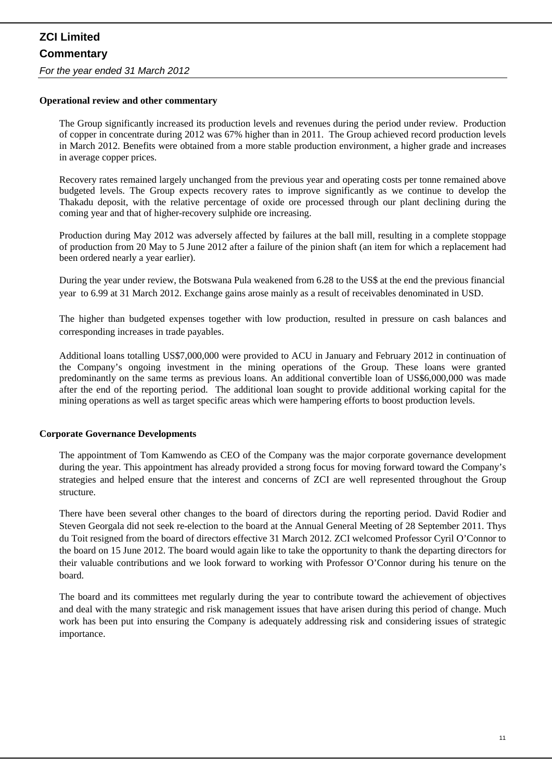### *For the year ended 31 March 2012*

#### **Operational review and other commentary**

The Group significantly increased its production levels and revenues during the period under review. Production of copper in concentrate during 2012 was 67% higher than in 2011. The Group achieved record production levels in March 2012. Benefits were obtained from a more stable production environment, a higher grade and increases in average copper prices.

Recovery rates remained largely unchanged from the previous year and operating costs per tonne remained above budgeted levels. The Group expects recovery rates to improve significantly as we continue to develop the Thakadu deposit, with the relative percentage of oxide ore processed through our plant declining during the coming year and that of higher-recovery sulphide ore increasing.

Production during May 2012 was adversely affected by failures at the ball mill, resulting in a complete stoppage of production from 20 May to 5 June 2012 after a failure of the pinion shaft (an item for which a replacement had been ordered nearly a year earlier).

During the year under review, the Botswana Pula weakened from 6.28 to the US\$ at the end the previous financial year to 6.99 at 31 March 2012. Exchange gains arose mainly as a result of receivables denominated in USD.

The higher than budgeted expenses together with low production, resulted in pressure on cash balances and corresponding increases in trade payables.

Additional loans totalling US\$7,000,000 were provided to ACU in January and February 2012 in continuation of the Company's ongoing investment in the mining operations of the Group. These loans were granted predominantly on the same terms as previous loans. An additional convertible loan of US\$6,000,000 was made after the end of the reporting period. The additional loan sought to provide additional working capital for the mining operations as well as target specific areas which were hampering efforts to boost production levels.

### **Corporate Governance Developments**

The appointment of Tom Kamwendo as CEO of the Company was the major corporate governance development during the year. This appointment has already provided a strong focus for moving forward toward the Company's strategies and helped ensure that the interest and concerns of ZCI are well represented throughout the Group structure.

There have been several other changes to the board of directors during the reporting period. David Rodier and Steven Georgala did not seek re-election to the board at the Annual General Meeting of 28 September 2011. Thys du Toit resigned from the board of directors effective 31 March 2012. ZCI welcomed Professor Cyril O'Connor to the board on 15 June 2012. The board would again like to take the opportunity to thank the departing directors for their valuable contributions and we look forward to working with Professor O'Connor during his tenure on the board.

The board and its committees met regularly during the year to contribute toward the achievement of objectives and deal with the many strategic and risk management issues that have arisen during this period of change. Much work has been put into ensuring the Company is adequately addressing risk and considering issues of strategic importance.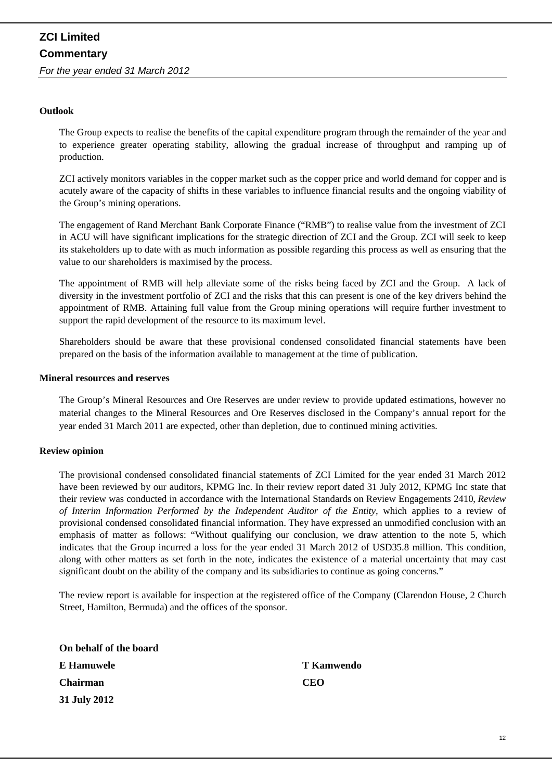### **Outlook**

The Group expects to realise the benefits of the capital expenditure program through the remainder of the year and to experience greater operating stability, allowing the gradual increase of throughput and ramping up of production.

ZCI actively monitors variables in the copper market such as the copper price and world demand for copper and is acutely aware of the capacity of shifts in these variables to influence financial results and the ongoing viability of the Group's mining operations.

The engagement of Rand Merchant Bank Corporate Finance ("RMB") to realise value from the investment of ZCI in ACU will have significant implications for the strategic direction of ZCI and the Group. ZCI will seek to keep its stakeholders up to date with as much information as possible regarding this process as well as ensuring that the value to our shareholders is maximised by the process.

The appointment of RMB will help alleviate some of the risks being faced by ZCI and the Group. A lack of diversity in the investment portfolio of ZCI and the risks that this can present is one of the key drivers behind the appointment of RMB. Attaining full value from the Group mining operations will require further investment to support the rapid development of the resource to its maximum level.

Shareholders should be aware that these provisional condensed consolidated financial statements have been prepared on the basis of the information available to management at the time of publication.

#### **Mineral resources and reserves**

The Group's Mineral Resources and Ore Reserves are under review to provide updated estimations, however no material changes to the Mineral Resources and Ore Reserves disclosed in the Company's annual report for the year ended 31 March 2011 are expected, other than depletion, due to continued mining activities.

#### **Review opinion**

The provisional condensed consolidated financial statements of ZCI Limited for the year ended 31 March 2012 have been reviewed by our auditors, KPMG Inc. In their review report dated 31 July 2012, KPMG Inc state that their review was conducted in accordance with the International Standards on Review Engagements 2410, *Review of Interim Information Performed by the Independent Auditor of the Entity,* which applies to a review of provisional condensed consolidated financial information. They have expressed an unmodified conclusion with an emphasis of matter as follows: "Without qualifying our conclusion, we draw attention to the note 5, which indicates that the Group incurred a loss for the year ended 31 March 2012 of USD35.8 million. This condition, along with other matters as set forth in the note, indicates the existence of a material uncertainty that may cast significant doubt on the ability of the company and its subsidiaries to continue as going concerns."

The review report is available for inspection at the registered office of the Company (Clarendon House, 2 Church Street, Hamilton, Bermuda) and the offices of the sponsor.

| On behalf of the board |            |
|------------------------|------------|
| E Hamuwele             | T Kamwendo |
| <b>Chairman</b>        | <b>CEO</b> |
| 31 July 2012           |            |